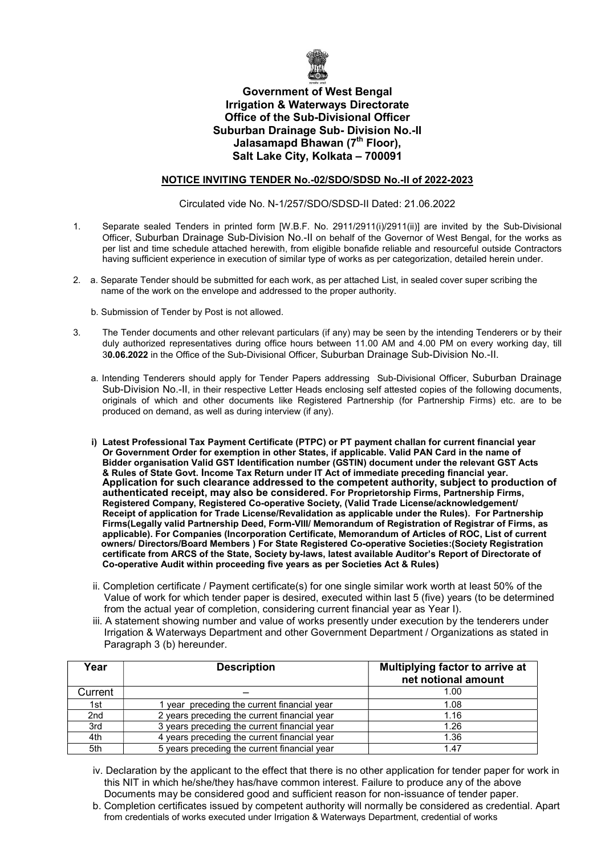

## Government of West Bengal Irrigation & Waterways Directorate Office of the Sub-Divisional Officer Suburban Drainage Sub- Division No.-II Jalasamapd Bhawan (7<sup>th</sup> Floor), Salt Lake City, Kolkata – 700091

## NOTICE INVITING TENDER No.-02/SDO/SDSD No.-II of 2022-2023

Circulated vide No. N-1/257/SDO/SDSD-II Dated: 21.06.2022

- 1. Separate sealed Tenders in printed form [W.B.F. No. 2911/2911(i)/2911(ii)] are invited by the Sub-Divisional Officer, Suburban Drainage Sub-Division No.-II on behalf of the Governor of West Bengal, for the works as per list and time schedule attached herewith, from eligible bonafide reliable and resourceful outside Contractors having sufficient experience in execution of similar type of works as per categorization, detailed herein under.
- 2. a. Separate Tender should be submitted for each work, as per attached List, in sealed cover super scribing the name of the work on the envelope and addressed to the proper authority.
	- b. Submission of Tender by Post is not allowed.
- 3. The Tender documents and other relevant particulars (if any) may be seen by the intending Tenderers or by their duly authorized representatives during office hours between 11.00 AM and 4.00 PM on every working day, till 30.06.2022 in the Office of the Sub-Divisional Officer, Suburban Drainage Sub-Division No.-II.
	- a. Intending Tenderers should apply for Tender Papers addressing Sub-Divisional Officer, Suburban Drainage Sub-Division No.-II, in their respective Letter Heads enclosing self attested copies of the following documents, originals of which and other documents like Registered Partnership (for Partnership Firms) etc. are to be produced on demand, as well as during interview (if any).
	- i) Latest Professional Tax Payment Certificate (PTPC) or PT payment challan for current financial year Or Government Order for exemption in other States, if applicable. Valid PAN Card in the name of Bidder organisation Valid GST Identification number (GSTIN) document under the relevant GST Acts & Rules of State Govt. Income Tax Return under IT Act of immediate preceding financial year. Application for such clearance addressed to the competent authority, subject to production of authenticated receipt, may also be considered. For Proprietorship Firms, Partnership Firms, Registered Company, Registered Co-operative Society, (Valid Trade License/acknowledgement/ Receipt of application for Trade License/Revalidation as applicable under the Rules). For Partnership Firms(Legally valid Partnership Deed, Form-VIII/ Memorandum of Registration of Registrar of Firms, as applicable). For Companies (Incorporation Certificate, Memorandum of Articles of ROC, List of current owners/ Directors/Board Members ) For State Registered Co-operative Societies:(Society Registration certificate from ARCS of the State, Society by-laws, latest available Auditor's Report of Directorate of Co-operative Audit within proceeding five years as per Societies Act & Rules)
	- ii. Completion certificate / Payment certificate(s) for one single similar work worth at least 50% of the Value of work for which tender paper is desired, executed within last 5 (five) years (to be determined from the actual year of completion, considering current financial year as Year I).
	- iii. A statement showing number and value of works presently under execution by the tenderers under Irrigation & Waterways Department and other Government Department / Organizations as stated in Paragraph 3 (b) hereunder.

| Year            | <b>Description</b>                           | Multiplying factor to arrive at<br>net notional amount |  |  |
|-----------------|----------------------------------------------|--------------------------------------------------------|--|--|
| Current         |                                              | 1.00                                                   |  |  |
| 1st             | vear preceding the current financial year    | 1.08                                                   |  |  |
| 2 <sub>nd</sub> | 2 years preceding the current financial year | 1.16                                                   |  |  |
| 3rd             | 3 years preceding the current financial year | 1.26                                                   |  |  |
| 4th             | 4 years preceding the current financial year | 1.36                                                   |  |  |
| 5th             | 5 years preceding the current financial year | 1.47                                                   |  |  |

- iv. Declaration by the applicant to the effect that there is no other application for tender paper for work in this NIT in which he/she/they has/have common interest. Failure to produce any of the above Documents may be considered good and sufficient reason for non-issuance of tender paper.
- b. Completion certificates issued by competent authority will normally be considered as credential. Apart from credentials of works executed under Irrigation & Waterways Department, credential of works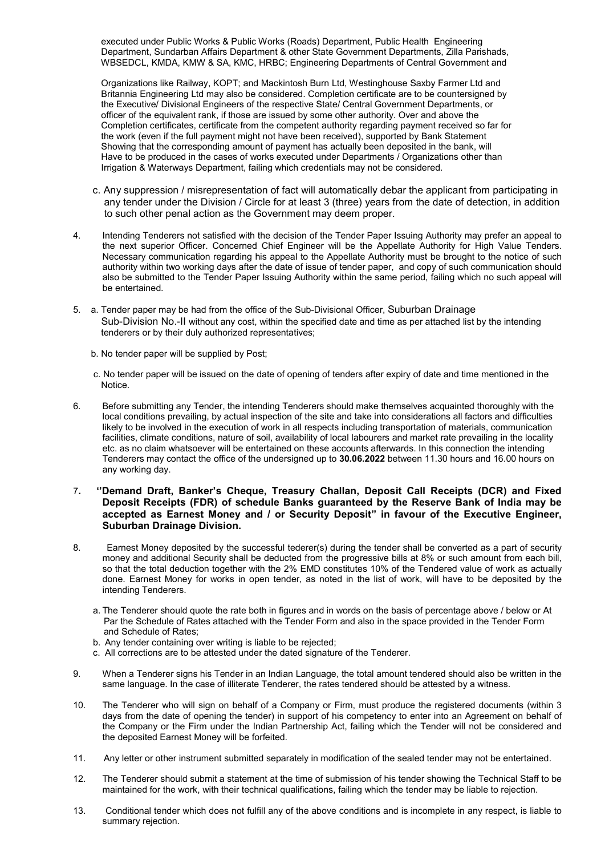executed under Public Works & Public Works (Roads) Department, Public Health Engineering Department, Sundarban Affairs Department & other State Government Departments, Zilla Parishads, WBSEDCL, KMDA, KMW & SA, KMC, HRBC; Engineering Departments of Central Government and

 Organizations like Railway, KOPT; and Mackintosh Burn Ltd, Westinghouse Saxby Farmer Ltd and Britannia Engineering Ltd may also be considered. Completion certificate are to be countersigned by the Executive/ Divisional Engineers of the respective State/ Central Government Departments, or officer of the equivalent rank, if those are issued by some other authority. Over and above the Completion certificates, certificate from the competent authority regarding payment received so far for the work (even if the full payment might not have been received), supported by Bank Statement Showing that the corresponding amount of payment has actually been deposited in the bank, will Have to be produced in the cases of works executed under Departments / Organizations other than Irrigation & Waterways Department, failing which credentials may not be considered.

- c. Any suppression / misrepresentation of fact will automatically debar the applicant from participating in any tender under the Division / Circle for at least 3 (three) years from the date of detection, in addition to such other penal action as the Government may deem proper.
- 4. Intending Tenderers not satisfied with the decision of the Tender Paper Issuing Authority may prefer an appeal to the next superior Officer. Concerned Chief Engineer will be the Appellate Authority for High Value Tenders. Necessary communication regarding his appeal to the Appellate Authority must be brought to the notice of such authority within two working days after the date of issue of tender paper, and copy of such communication should also be submitted to the Tender Paper Issuing Authority within the same period, failing which no such appeal will be entertained.
- 5. a. Tender paper may be had from the office of the Sub-Divisional Officer, Suburban Drainage Sub-Division No.-II without any cost, within the specified date and time as per attached list by the intending tenderers or by their duly authorized representatives;
	- b. No tender paper will be supplied by Post;
	- c. No tender paper will be issued on the date of opening of tenders after expiry of date and time mentioned in the Notice.
- 6. Before submitting any Tender, the intending Tenderers should make themselves acquainted thoroughly with the local conditions prevailing, by actual inspection of the site and take into considerations all factors and difficulties likely to be involved in the execution of work in all respects including transportation of materials, communication facilities, climate conditions, nature of soil, availability of local labourers and market rate prevailing in the locality etc. as no claim whatsoever will be entertained on these accounts afterwards. In this connection the intending Tenderers may contact the office of the undersigned up to 30.06.2022 between 11.30 hours and 16.00 hours on any working day.

## 7. ''Demand Draft, Banker's Cheque, Treasury Challan, Deposit Call Receipts (DCR) and Fixed Deposit Receipts (FDR) of schedule Banks guaranteed by the Reserve Bank of India may be accepted as Earnest Money and / or Security Deposit" in favour of the Executive Engineer, Suburban Drainage Division.

- 8. Earnest Money deposited by the successful tederer(s) during the tender shall be converted as a part of security money and additional Security shall be deducted from the progressive bills at 8% or such amount from each bill, so that the total deduction together with the 2% EMD constitutes 10% of the Tendered value of work as actually done. Earnest Money for works in open tender, as noted in the list of work, will have to be deposited by the intending Tenderers.
	- a. The Tenderer should quote the rate both in figures and in words on the basis of percentage above / below or At Par the Schedule of Rates attached with the Tender Form and also in the space provided in the Tender Form and Schedule of Rates;
	- b. Any tender containing over writing is liable to be rejected;
	- c. All corrections are to be attested under the dated signature of the Tenderer.
- 9. When a Tenderer signs his Tender in an Indian Language, the total amount tendered should also be written in the same language. In the case of illiterate Tenderer, the rates tendered should be attested by a witness.
- 10. The Tenderer who will sign on behalf of a Company or Firm, must produce the registered documents (within 3 days from the date of opening the tender) in support of his competency to enter into an Agreement on behalf of the Company or the Firm under the Indian Partnership Act, failing which the Tender will not be considered and the deposited Earnest Money will be forfeited.
- 11. Any letter or other instrument submitted separately in modification of the sealed tender may not be entertained.
- 12. The Tenderer should submit a statement at the time of submission of his tender showing the Technical Staff to be maintained for the work, with their technical qualifications, failing which the tender may be liable to rejection.
- 13. Conditional tender which does not fulfill any of the above conditions and is incomplete in any respect, is liable to summary rejection.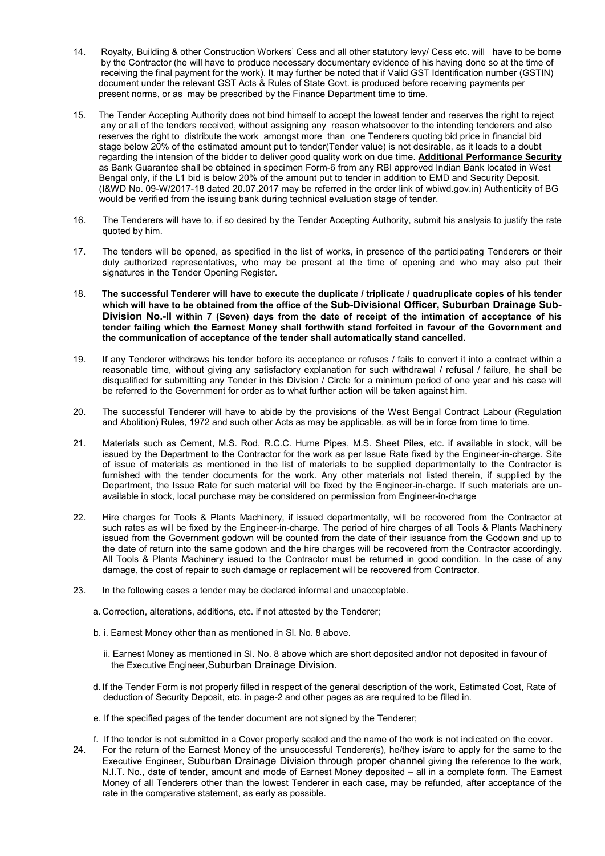- 14. Royalty, Building & other Construction Workers' Cess and all other statutory levy/ Cess etc. will have to be borne by the Contractor (he will have to produce necessary documentary evidence of his having done so at the time of receiving the final payment for the work). It may further be noted that if Valid GST Identification number (GSTIN) document under the relevant GST Acts & Rules of State Govt. is produced before receiving payments per present norms, or as may be prescribed by the Finance Department time to time.
- 15. The Tender Accepting Authority does not bind himself to accept the lowest tender and reserves the right to reject any or all of the tenders received, without assigning any reason whatsoever to the intending tenderers and also reserves the right to distribute the work amongst more than one Tenderers quoting bid price in financial bid stage below 20% of the estimated amount put to tender(Tender value) is not desirable, as it leads to a doubt regarding the intension of the bidder to deliver good quality work on due time. Additional Performance Security as Bank Guarantee shall be obtained in specimen Form-6 from any RBI approved Indian Bank located in West Bengal only, if the L1 bid is below 20% of the amount put to tender in addition to EMD and Security Deposit. (I&WD No. 09-W/2017-18 dated 20.07.2017 may be referred in the order link of wbiwd.gov.in) Authenticity of BG would be verified from the issuing bank during technical evaluation stage of tender.
- 16. The Tenderers will have to, if so desired by the Tender Accepting Authority, submit his analysis to justify the rate quoted by him.
- 17. The tenders will be opened, as specified in the list of works, in presence of the participating Tenderers or their duly authorized representatives, who may be present at the time of opening and who may also put their signatures in the Tender Opening Register.
- 18. The successful Tenderer will have to execute the duplicate / triplicate / quadruplicate copies of his tender which will have to be obtained from the office of the Sub-Divisional Officer, Suburban Drainage Sub-Division No.-II within 7 (Seven) days from the date of receipt of the intimation of acceptance of his tender failing which the Earnest Money shall forthwith stand forfeited in favour of the Government and the communication of acceptance of the tender shall automatically stand cancelled.
- 19. If any Tenderer withdraws his tender before its acceptance or refuses / fails to convert it into a contract within a reasonable time, without giving any satisfactory explanation for such withdrawal / refusal / failure, he shall be disqualified for submitting any Tender in this Division / Circle for a minimum period of one year and his case will be referred to the Government for order as to what further action will be taken against him.
- 20. The successful Tenderer will have to abide by the provisions of the West Bengal Contract Labour (Regulation and Abolition) Rules, 1972 and such other Acts as may be applicable, as will be in force from time to time.
- 21. Materials such as Cement, M.S. Rod, R.C.C. Hume Pipes, M.S. Sheet Piles, etc. if available in stock, will be issued by the Department to the Contractor for the work as per Issue Rate fixed by the Engineer-in-charge. Site of issue of materials as mentioned in the list of materials to be supplied departmentally to the Contractor is furnished with the tender documents for the work. Any other materials not listed therein, if supplied by the Department, the Issue Rate for such material will be fixed by the Engineer-in-charge. If such materials are unavailable in stock, local purchase may be considered on permission from Engineer-in-charge
- 22. Hire charges for Tools & Plants Machinery, if issued departmentally, will be recovered from the Contractor at such rates as will be fixed by the Engineer-in-charge. The period of hire charges of all Tools & Plants Machinery issued from the Government godown will be counted from the date of their issuance from the Godown and up to the date of return into the same godown and the hire charges will be recovered from the Contractor accordingly. All Tools & Plants Machinery issued to the Contractor must be returned in good condition. In the case of any damage, the cost of repair to such damage or replacement will be recovered from Contractor.
- 23. In the following cases a tender may be declared informal and unacceptable.
	- a. Correction, alterations, additions, etc. if not attested by the Tenderer;
	- b. i. Earnest Money other than as mentioned in Sl. No. 8 above.
		- ii. Earnest Money as mentioned in Sl. No. 8 above which are short deposited and/or not deposited in favour of the Executive Engineer,Suburban Drainage Division.
	- d. If the Tender Form is not properly filled in respect of the general description of the work, Estimated Cost, Rate of deduction of Security Deposit, etc. in page-2 and other pages as are required to be filled in.
	- e. If the specified pages of the tender document are not signed by the Tenderer;
	- f. If the tender is not submitted in a Cover properly sealed and the name of the work is not indicated on the cover.
- 24. For the return of the Earnest Money of the unsuccessful Tenderer(s), he/they is/are to apply for the same to the Executive Engineer, Suburban Drainage Division through proper channel giving the reference to the work, N.I.T. No., date of tender, amount and mode of Earnest Money deposited – all in a complete form. The Earnest Money of all Tenderers other than the lowest Tenderer in each case, may be refunded, after acceptance of the rate in the comparative statement, as early as possible.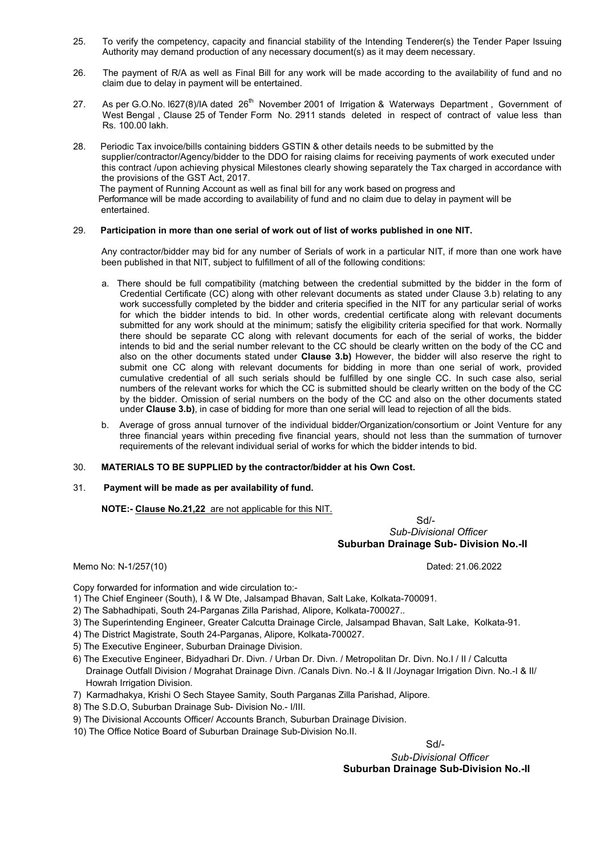- 25. To verify the competency, capacity and financial stability of the Intending Tenderer(s) the Tender Paper Issuing Authority may demand production of any necessary document(s) as it may deem necessary.
- 26. The payment of R/A as well as Final Bill for any work will be made according to the availability of fund and no claim due to delay in payment will be entertained.
- 27. As per G.O.No. 1627(8)/IA dated 26<sup>th</sup> November 2001 of Irrigation & Waterways Department, Government of West Bengal , Clause 25 of Tender Form No. 2911 stands deleted in respect of contract of value less than Rs. 100.00 lakh.
- 28. Periodic Tax invoice/bills containing bidders GSTIN & other details needs to be submitted by the supplier/contractor/Agency/bidder to the DDO for raising claims for receiving payments of work executed under this contract /upon achieving physical Milestones clearly showing separately the Tax charged in accordance with the provisions of the GST Act, 2017. The payment of Running Account as well as final bill for any work based on progress and Performance will be made according to availability of fund and no claim due to delay in payment will be entertained.

#### 29. Participation in more than one serial of work out of list of works published in one NIT.

Any contractor/bidder may bid for any number of Serials of work in a particular NIT, if more than one work have been published in that NIT, subject to fulfillment of all of the following conditions:

- a. There should be full compatibility (matching between the credential submitted by the bidder in the form of Credential Certificate (CC) along with other relevant documents as stated under Clause 3.b) relating to any work successfully completed by the bidder and criteria specified in the NIT for any particular serial of works for which the bidder intends to bid. In other words, credential certificate along with relevant documents submitted for any work should at the minimum; satisfy the eligibility criteria specified for that work. Normally there should be separate CC along with relevant documents for each of the serial of works, the bidder intends to bid and the serial number relevant to the CC should be clearly written on the body of the CC and also on the other documents stated under Clause 3.b) However, the bidder will also reserve the right to submit one CC along with relevant documents for bidding in more than one serial of work, provided cumulative credential of all such serials should be fulfilled by one single CC. In such case also, serial numbers of the relevant works for which the CC is submitted should be clearly written on the body of the CC by the bidder. Omission of serial numbers on the body of the CC and also on the other documents stated under Clause 3.b), in case of bidding for more than one serial will lead to rejection of all the bids.
- b. Average of gross annual turnover of the individual bidder/Organization/consortium or Joint Venture for any three financial years within preceding five financial years, should not less than the summation of turnover requirements of the relevant individual serial of works for which the bidder intends to bid.

#### 30. MATERIALS TO BE SUPPLIED by the contractor/bidder at his Own Cost.

#### 31. Payment will be made as per availability of fund.

#### NOTE:- Clause No.21,22 are not applicable for this NIT.

 Sd/- Sub-Divisional Officer Suburban Drainage Sub- Division No.-II

Memo No: N-1/257(10) Dated: 21.06.2022

Copy forwarded for information and wide circulation to:-

- 1) The Chief Engineer (South), I & W Dte, Jalsampad Bhavan, Salt Lake, Kolkata-700091.
- 2) The Sabhadhipati, South 24-Parganas Zilla Parishad, Alipore, Kolkata-700027..
- 3) The Superintending Engineer, Greater Calcutta Drainage Circle, Jalsampad Bhavan, Salt Lake, Kolkata-91.
- 4) The District Magistrate, South 24-Parganas, Alipore, Kolkata-700027.
- 5) The Executive Engineer, Suburban Drainage Division.
- 6) The Executive Engineer, Bidyadhari Dr. Divn. / Urban Dr. Divn. / Metropolitan Dr. Divn. No.I / II / Calcutta Drainage Outfall Division / Mograhat Drainage Divn. /Canals Divn. No.-I & II /Joynagar Irrigation Divn. No.-I & II/ Howrah Irrigation Division.
- 7) Karmadhakya, Krishi O Sech Stayee Samity, South Parganas Zilla Parishad, Alipore.
- 8) The S.D.O, Suburban Drainage Sub- Division No.- I/III.
- 9) The Divisional Accounts Officer/ Accounts Branch, Suburban Drainage Division.
- 10) The Office Notice Board of Suburban Drainage Sub-Division No.II.

Sd/- Research and the state of the state of the state of the state of the state of the Sd/-

 Sub-Divisional Officer Suburban Drainage Sub-Division No.-II